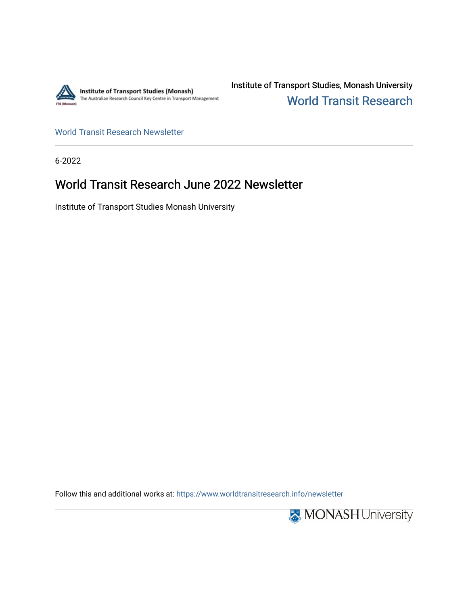

Institute of Transport Studies, Monash University [World Transit Research](https://www.worldtransitresearch.info/) 

[World Transit Research Newsletter](https://www.worldtransitresearch.info/newsletter) 

6-2022

## World Transit Research June 2022 Newsletter

Institute of Transport Studies Monash University

Follow this and additional works at: [https://www.worldtransitresearch.info/newsletter](https://www.worldtransitresearch.info/newsletter?utm_source=www.worldtransitresearch.info%2Fnewsletter%2F72&utm_medium=PDF&utm_campaign=PDFCoverPages) 

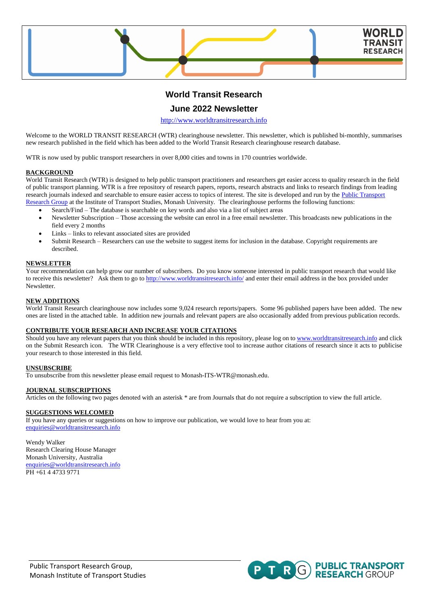

## **World Transit Research**

### **June 2022 Newsletter**

[http://www.worldtransitresearch.info](http://www.worldtransitresearch.info/)

Welcome to the WORLD TRANSIT RESEARCH (WTR) clearinghouse newsletter. This newsletter, which is published bi-monthly, summarises new research published in the field which has been added to the World Transit Research clearinghouse research database.

WTR is now used by public transport researchers in over 8,000 cities and towns in 170 countries worldwide.

#### **BACKGROUND**

World Transit Research (WTR) is designed to help public transport practitioners and researchers get easier access to quality research in the field of public transport planning. WTR is a free repository of research papers, reports, research abstracts and links to research findings from leading research journals indexed and searchable to ensure easier access to topics of interest. The site is developed and run by the Public Transport [Research Group](http://publictransportresearchgroup.info/) at the Institute of Transport Studies, Monash University. The clearinghouse performs the following functions:

- Search/Find The database is searchable on key words and also via a list of subject areas
- Newsletter Subscription Those accessing the website can enrol in a free email newsletter. This broadcasts new publications in the field every 2 months
- Links links to relevant associated sites are provided
- Submit Research Researchers can use the website to suggest items for inclusion in the database. Copyright requirements are described.

#### **NEWSLETTER**

Your recommendation can help grow our number of subscribers. Do you know someone interested in public transport research that would like to receive this newsletter? Ask them to go to<http://www.worldtransitresearch.info/> and enter their email address in the box provided under Newsletter.

#### **NEW ADDITIONS**

World Transit Research clearinghouse now includes some 9,024 research reports/papers. Some 96 published papers have been added. The new ones are listed in the attached table. In addition new journals and relevant papers are also occasionally added from previous publication records.

#### **CONTRIBUTE YOUR RESEARCH AND INCREASE YOUR CITATIONS**

Should you have any relevant papers that you think should be included in this repository, please log on t[o www.worldtransitresearch.info](http://www.worldtransitresearch.info/) and click on the Submit Research icon. The WTR Clearinghouse is a very effective tool to increase author citations of research since it acts to publicise your research to those interested in this field.

#### **UNSUBSCRIBE**

To unsubscribe from this newsletter please email request to Monash-ITS-WTR@monash.edu.

#### **JOURNAL SUBSCRIPTIONS**

Articles on the following two pages denoted with an asterisk \* are from Journals that do not require a subscription to view the full article.

#### **SUGGESTIONS WELCOMED**

If you have any queries or suggestions on how to improve our publication, we would love to hear from you at: [enquiries@worldtransitresearch.info](mailto:enquiries@worldtransitresearch.info)

Wendy Walker Research Clearing House Manager Monash University, Australia [enquiries@worldtransitresearch.info](mailto:enquiries@worldtransitresearch.info) PH +61 4 4733 9771

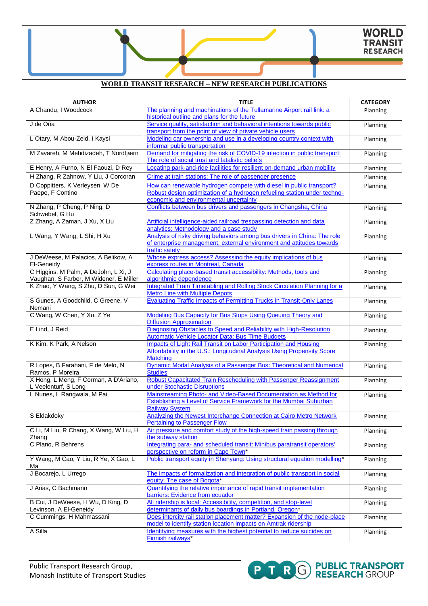### **WORLD TRANSIT RESEARCH – NEW RESEARCH PUBLICATIONS**

| <b>AUTHOR</b>                                             | <b>TITLE</b>                                                                                                           | <b>CATEGORY</b> |
|-----------------------------------------------------------|------------------------------------------------------------------------------------------------------------------------|-----------------|
| A Chandu, I Woodcock                                      | The planning and machinations of the Tullamarine Airport rail link: a                                                  | Planning        |
|                                                           | historical outline and plans for the future                                                                            |                 |
| J de Oña                                                  | Service quality, satisfaction and behavioral intentions towards public                                                 | Planning        |
|                                                           | transport from the point of view of private vehicle users                                                              |                 |
| L Otary, M Abou-Zeid, I Kaysi                             | Modeling car ownership and use in a developing country context with                                                    | Planning        |
| M Zavareh, M Mehdizadeh, T Nordfjærn                      | informal public transportation<br>Demand for mitigating the risk of COVID-19 infection in public transport:            |                 |
|                                                           | The role of social trust and fatalistic beliefs                                                                        | Planning        |
| E Henry, A Furno, N El Faouzi, D Rey                      | Locating park-and-ride facilities for resilient on-demand urban mobility                                               | Planning        |
| H Zhang, R Zahnow, Y Liu, J Corcoran                      | Crime at train stations: The role of passenger presence                                                                |                 |
|                                                           |                                                                                                                        | Planning        |
| D Coppitters, K Verleysen, W De<br>Paepe. F Contino       | How can renewable hydrogen compete with diesel in public transport?                                                    | Planning        |
|                                                           | Robust design optimization of a hydrogen refueling station under techno-<br>economic and environmental uncertainty     |                 |
| N Zhang, P Cheng, P Ning, D                               | Conflicts between bus drivers and passengers in Changsha, China                                                        | Planning        |
| Schwebel, G Hu                                            |                                                                                                                        |                 |
| Z Zhang, A Zaman, J Xu, X Liu                             | Artificial intelligence-aided railroad trespassing detection and data                                                  | Planning        |
|                                                           | analytics: Methodology and a case study                                                                                |                 |
| L Wang, Y Wang, L Shi, H Xu                               | Analysis of risky driving behaviors among bus drivers in China: The role                                               | Planning        |
|                                                           | of enterprise management, external environment and attitudes towards                                                   |                 |
|                                                           | traffic safety                                                                                                         |                 |
| J DeWeese, M Palacios, A Belikow, A                       | Whose express access? Assessing the equity implications of bus                                                         | Planning        |
| El-Geneidy                                                | express routes in Montreal, Canada                                                                                     |                 |
| C Higgins, M Palm, A DeJohn, L Xi, J                      | Calculating place-based transit accessibility: Methods, tools and                                                      | Planning        |
| Vaughan, S Farber, M Widener, E Miller                    | algorithmic dependence                                                                                                 |                 |
| K Zhao, Y Wang, S Zhu, D Sun, G Wei                       | Integrated Train Timetabling and Rolling Stock Circulation Planning for a                                              | Planning        |
| S Gunes, A Goodchild, C Greene, V                         | <b>Metro Line with Multiple Depots</b><br><b>Evaluating Traffic Impacts of Permitting Trucks in Transit-Only Lanes</b> |                 |
| Nemani                                                    |                                                                                                                        | Planning        |
| C Wang, W Chen, Y Xu, Z Ye                                | Modeling Bus Capacity for Bus Stops Using Queuing Theory and                                                           | Planning        |
|                                                           | <b>Diffusion Approximation</b>                                                                                         |                 |
| E Lind, J Reid                                            | Diagnosing Obstacles to Speed and Reliability with High-Resolution                                                     | Planning        |
|                                                           | <b>Automatic Vehicle Locator Data: Bus Time Budgets</b>                                                                |                 |
| K Kim, K Park, A Nelson                                   | <b>Impacts of Light Rail Transit on Labor Participation and Housing</b>                                                | Planning        |
|                                                           | Affordability in the U.S.: Longitudinal Analysis Using Propensity Score                                                |                 |
|                                                           | <b>Matching</b>                                                                                                        |                 |
| R Lopes, B Farahani, F de Melo, N                         | Dynamic Modal Analysis of a Passenger Bus: Theoretical and Numerical                                                   | Planning        |
| Ramos, P Moreira<br>X Hong, L Meng, F Corman, A D'Ariano, | <b>Studies</b><br>Robust Capacitated Train Rescheduling with Passenger Reassignment                                    |                 |
| L Veelenturf, S Long                                      | under Stochastic Disruptions                                                                                           | Planning        |
| L Nunes, L Rangwala, M Pai                                | Mainstreaming Photo- and Video-Based Documentation as Method for                                                       | Planning        |
|                                                           | Establishing a Level of Service Framework for the Mumbai Suburban                                                      |                 |
|                                                           | <b>Railway System</b>                                                                                                  |                 |
| S Eldakdoky                                               | Analyzing the Newest Interchange Connection at Cairo Metro Network                                                     | Planning        |
|                                                           | <b>Pertaining to Passenger Flow</b>                                                                                    |                 |
| C Li, M Liu, R Chang, X Wang, W Liu, H                    | Air pressure and comfort study of the high-speed train passing through                                                 | Planning        |
| Zhang                                                     | the subway station                                                                                                     |                 |
| C Plano, R Behrens                                        | Integrating para- and scheduled transit: Minibus paratransit operators'                                                | Planning        |
|                                                           | perspective on reform in Cape Town*                                                                                    |                 |
| Y Wang, M Cao, Y Liu, R Ye, X Gao, L                      | Public transport equity in Shenyang: Using structural equation modelling*                                              | Planning        |
| Ma<br>J Bocarejo, L Urrego                                | The impacts of formalization and integration of public transport in social                                             |                 |
|                                                           | equity: The case of Bogota*                                                                                            | Planning        |
| J Arias, C Bachmann                                       | Quantifying the relative importance of rapid transit implementation                                                    | Planning        |
|                                                           | barriers: Evidence from ecuador                                                                                        |                 |
| B Cui, J DeWeese, H Wu, D King, D                         | All ridership is local: Accessibility, competition, and stop-level                                                     | Planning        |
| Levinson, A El-Geneidy                                    | determinants of daily bus boardings in Portland, Oregon*                                                               |                 |
| C Cummings, H Mahmassani                                  | Does intercity rail station placement matter? Expansion of the node-place                                              | Planning        |
|                                                           | model to identify station location impacts on Amtrak ridership                                                         |                 |
| A Silla                                                   | Identifying measures with the highest potential to reduce suicides on                                                  | Planning        |
|                                                           | Finnish railways*                                                                                                      |                 |

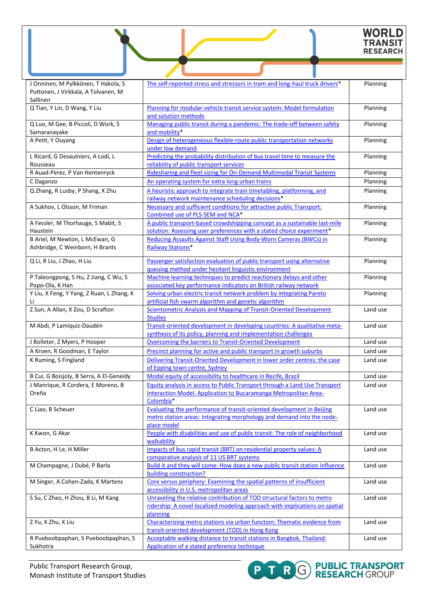# WORLD<br>TRANSIT<br>RESEARCH

| J Onninen, M Pylkkönen, T Hakola, S<br>Puttonen, J Virkkala, A Tolvanen, M<br>Sallinen | The self-reported stress and stressors in tram and long-haul truck drivers*                                                                                        | Planning |
|----------------------------------------------------------------------------------------|--------------------------------------------------------------------------------------------------------------------------------------------------------------------|----------|
| Q Tian, Y Lin, D Wang, Y Liu                                                           | Planning for modular-vehicle transit service system: Model formulation<br>and solution methods                                                                     | Planning |
| Q Luo, M Gee, B Piccoli, D Work, S<br>Samaranayake                                     | Managing public transit during a pandemic: The trade-off between safety<br>and mobility*                                                                           | Planning |
| A Petit, Y Ouyang                                                                      | Design of heterogeneous flexible-route public transportation networks<br>under low demand                                                                          | Planning |
| L Ricard, G Desaulniers, A Lodi, L<br>Rousseau                                         | Predicting the probability distribution of bus travel time to measure the<br>reliability of public transport services                                              | Planning |
| R Auad-Perez, P Van Hentenryck                                                         | Ridesharing and fleet sizing for On-Demand Multimodal Transit Systems                                                                                              | Planning |
| C Daganzo                                                                              | An operating system for extra long urban trains                                                                                                                    | Planning |
| Q Zhang, R Lusby, P Shang, X Zhu                                                       | A heuristic approach to integrate train timetabling, platforming, and<br>railway network maintenance scheduling decisions*                                         | Planning |
| A Sukhov, L Olsson, M Friman                                                           | Necessary and sufficient conditions for attractive public Transport:<br>Combined use of PLS-SEM and NCA*                                                           | Planning |
| A Fessler, M Thorhauge, S Mabit, S<br>Haustein                                         | A public transport-based crowdshipping concept as a sustainable last-mile<br>solution: Assessing user preferences with a stated choice experiment*                 | Planning |
| B Ariel, M Newton, L McEwan, G                                                         | Reducing Assaults Against Staff Using Body-Worn Cameras (BWCs) in                                                                                                  | Planning |
| Ashbridge, C Weinborn, H Brants                                                        | <b>Railway Stations*</b>                                                                                                                                           |          |
| Q Li, R Liu, J Zhao, H Liu                                                             | Passenger satisfaction evaluation of public transport using alternative<br>gueuing method under hesitant linguistic environment                                    | Planning |
| P Taleongpong, S Hu, Z Jiang, C Wu, S<br>Popo-Ola, K Han                               | Machine learning techniques to predict reactionary delays and other<br>associated key performance indicators on British railway network                            | Planning |
| Y Liu, X Feng, Y Yang, Z Ruan, L Zhang, K<br>Li                                        | Solving urban electric transit network problem by integrating Pareto<br>artificial fish swarm algorithm and genetic algorithm                                      | Planning |
| Z Sun, A Allan, X Zou, D Scrafton                                                      | <b>Scientometric Analysis and Mapping of Transit-Oriented Development</b><br><b>Studies</b>                                                                        | Land use |
| M Abdi, P Lamíquiz-Daudén                                                              | Transit-oriented development in developing countries: A qualitative meta-<br>synthesis of its policy, planning and implementation challenges                       | Land use |
| J Bolleter, Z Myers, P Hooper                                                          | Overcoming the barriers to Transit-Oriented Development                                                                                                            | Land use |
| A Kroen, R Goodman, E Taylor                                                           | Precinct planning for active and public transport in growth suburbs                                                                                                | Land use |
| K Ruming, S Fingland                                                                   | Delivering Transit-Oriented Development in lower order centres: the case<br>of Epping town centre, Sydney                                                          | Land use |
| B Cui, G Boisjoly, B Serra, A El-Geneidy                                               | Modal equity of accessibility to healthcare in Recife, Brazil                                                                                                      | Land use |
| J Manrique, R Cordera, E Moreno, B<br>Oreña                                            | Equity analysis in access to Public Transport through a Land Use Transport<br><u>Interaction Model. Application to Bucaramanga Metropolitan Area-</u><br>Colombia* | Land use |
| C Liao, B Scheuer                                                                      | Evaluating the performance of transit-oriented development in Beijing<br>metro station areas: Integrating morphology and demand into the node-<br>place model      | Land use |
| K Kwon, G Akar                                                                         | People with disabilities and use of public transit: The role of neighborhood<br>walkability                                                                        | Land use |
| B Acton, H Le, H Miller                                                                | Impacts of bus rapid transit (BRT) on residential property values: A<br>comparative analysis of 11 US BRT systems                                                  | Land use |
| M Champagne, J Dubé, P Barla                                                           | Build it and they will come: How does a new public transit station influence<br>building construction?                                                             | Land use |
| M Singer, A Cohen-Zada, K Martens                                                      | Core versus periphery: Examining the spatial patterns of insufficient<br>accessibility in U.S. metropolitan areas                                                  | Land use |
| S Su, C Zhao, H Zhou, B Li, M Kang                                                     | Unraveling the relative contribution of TOD structural factors to metro<br>ridership: A novel localized modeling approach with implications on spatial<br>planning | Land use |
| Z Yu, X Zhu, X Liu                                                                     | Characterizing metro stations via urban function: Thematic evidence from<br>transit-oriented development (TOD) in Hong Kong                                        | Land use |
| R Pueboobpaphan, S Pueboobpaphan, S<br>Sukhotra                                        | Acceptable walking distance to transit stations in Bangkok, Thailand:<br>Application of a stated preference technique                                              | Land use |

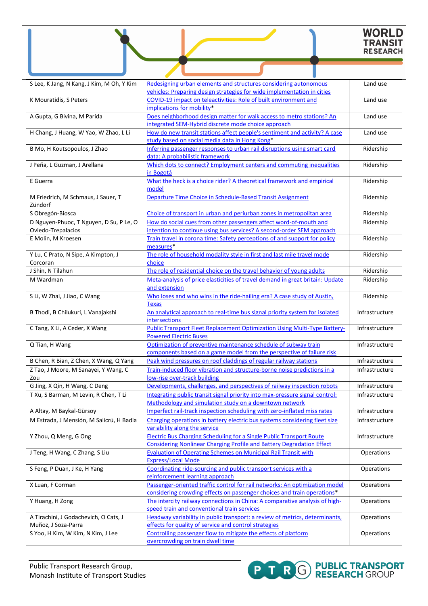# WORLD<br>TRANSIT<br>RESEARCH

| S Lee, K Jang, N Kang, J Kim, M Oh, Y Kim                | Redesigning urban elements and structures considering autonomous<br>vehicles: Preparing design strategies for wide implementation in cities                 | Land use       |
|----------------------------------------------------------|-------------------------------------------------------------------------------------------------------------------------------------------------------------|----------------|
| K Mouratidis, S Peters                                   | COVID-19 impact on teleactivities: Role of built environment and<br>implications for mobility*                                                              | Land use       |
| A Gupta, G Bivina, M Parida                              | Does neighborhood design matter for walk access to metro stations? An<br>integrated SEM-Hybrid discrete mode choice approach                                | Land use       |
| H Chang, J Huang, W Yao, W Zhao, L Li                    | How do new transit stations affect people's sentiment and activity? A case<br>study based on social media data in Hong Kong*                                | Land use       |
| B Mo, H Koutsopoulos, J Zhao                             | Inferring passenger responses to urban rail disruptions using smart card<br>data: A probabilistic framework                                                 | Ridership      |
| J Peña, L Guzman, J Arellana                             | Which dots to connect? Employment centers and commuting inequalities<br>in Bogotá                                                                           | Ridership      |
| E Guerra                                                 | What the heck is a choice rider? A theoretical framework and empirical<br>model                                                                             | Ridership      |
| M Friedrich, M Schmaus, J Sauer, T<br>Zündorf            | Departure Time Choice in Schedule-Based Transit Assignment                                                                                                  | Ridership      |
| S Obregón-Biosca                                         | Choice of transport in urban and periurban zones in metropolitan area                                                                                       | Ridership      |
| D Nguyen-Phuoc, T Nguyen, D Su, P Le, O                  | How do social cues from other passengers affect word-of-mouth and                                                                                           | Ridership      |
| Oviedo-Trepalacios                                       | intention to continue using bus services? A second-order SEM approach                                                                                       |                |
| E Molin, M Kroesen                                       | Train travel in corona time: Safety perceptions of and support for policy<br>measures*                                                                      | Ridership      |
| Y Lu, C Prato, N Sipe, A Kimpton, J<br>Corcoran          | The role of household modality style in first and last mile travel mode<br>choice                                                                           | Ridership      |
| J Shin, N Tilahun                                        | The role of residential choice on the travel behavior of young adults                                                                                       | Ridership      |
| M Wardman                                                | Meta-analysis of price elasticities of travel demand in great britain: Update<br>and extension                                                              | Ridership      |
| S Li, W Zhai, J Jiao, C Wang                             | Who loses and who wins in the ride-hailing era? A case study of Austin,<br><b>Texas</b>                                                                     | Ridership      |
| B Thodi, B Chilukuri, L Vanajakshi                       | An analytical approach to real-time bus signal priority system for isolated<br>intersections                                                                | Infrastructure |
| C Tang, X Li, A Ceder, X Wang                            | <b>Public Transport Fleet Replacement Optimization Using Multi-Type Battery-</b><br><b>Powered Electric Buses</b>                                           | Infrastructure |
| Q Tian, H Wang                                           | Optimization of preventive maintenance schedule of subway train<br>components based on a game model from the perspective of failure risk                    | Infrastructure |
| B Chen, R Bian, Z Chen, X Wang, Q Yang                   | Peak wind pressures on roof claddings of regular railway stations                                                                                           | Infrastructure |
| Z Tao, J Moore, M Sanayei, Y Wang, C<br>Zou              | Train-induced floor vibration and structure-borne noise predictions in a<br>low-rise over-track building                                                    | Infrastructure |
| G Jing, X Qin, H Wang, C Deng                            | Developments, challenges, and perspectives of railway inspection robots                                                                                     | Infrastructure |
| T Xu, S Barman, M Levin, R Chen, T Li                    | Integrating public transit signal priority into max-pressure signal control:<br>Methodology and simulation study on a downtown network                      | Infrastructure |
| A Altay, M Baykal-Gürsoy                                 | Imperfect rail-track inspection scheduling with zero-inflated miss rates                                                                                    | Infrastructure |
| M Estrada, J Mensión, M Salicrú, H Badia                 | Charging operations in battery electric bus systems considering fleet size<br>variability along the service                                                 | Infrastructure |
| Y Zhou, Q Meng, G Ong                                    | <b>Electric Bus Charging Scheduling for a Single Public Transport Route</b><br><b>Considering Nonlinear Charging Profile and Battery Degradation Effect</b> | Infrastructure |
| J Teng, H Wang, C Zhang, S Liu                           | <b>Evaluation of Operating Schemes on Municipal Rail Transit with</b><br><b>Express/Local Mode</b>                                                          | Operations     |
| S Feng, P Duan, J Ke, H Yang                             | Coordinating ride-sourcing and public transport services with a<br>reinforcement learning approach                                                          | Operations     |
| X Luan, F Corman                                         | Passenger-oriented traffic control for rail networks: An optimization model<br>considering crowding effects on passenger choices and train operations*      | Operations     |
| Y Huang, H Zong                                          | The intercity railway connections in China: A comparative analysis of high-<br>speed train and conventional train services                                  | Operations     |
| A Tirachini, J Godachevich, O Cats, J                    | Headway variability in public transport: a review of metrics, determinants,                                                                                 | Operations     |
| Muñoz, J Soza-Parra<br>S Yoo, H Kim, W Kim, N Kim, J Lee | effects for quality of service and control strategies<br>Controlling passenger flow to mitigate the effects of platform                                     | Operations     |
|                                                          | overcrowding on train dwell time                                                                                                                            |                |